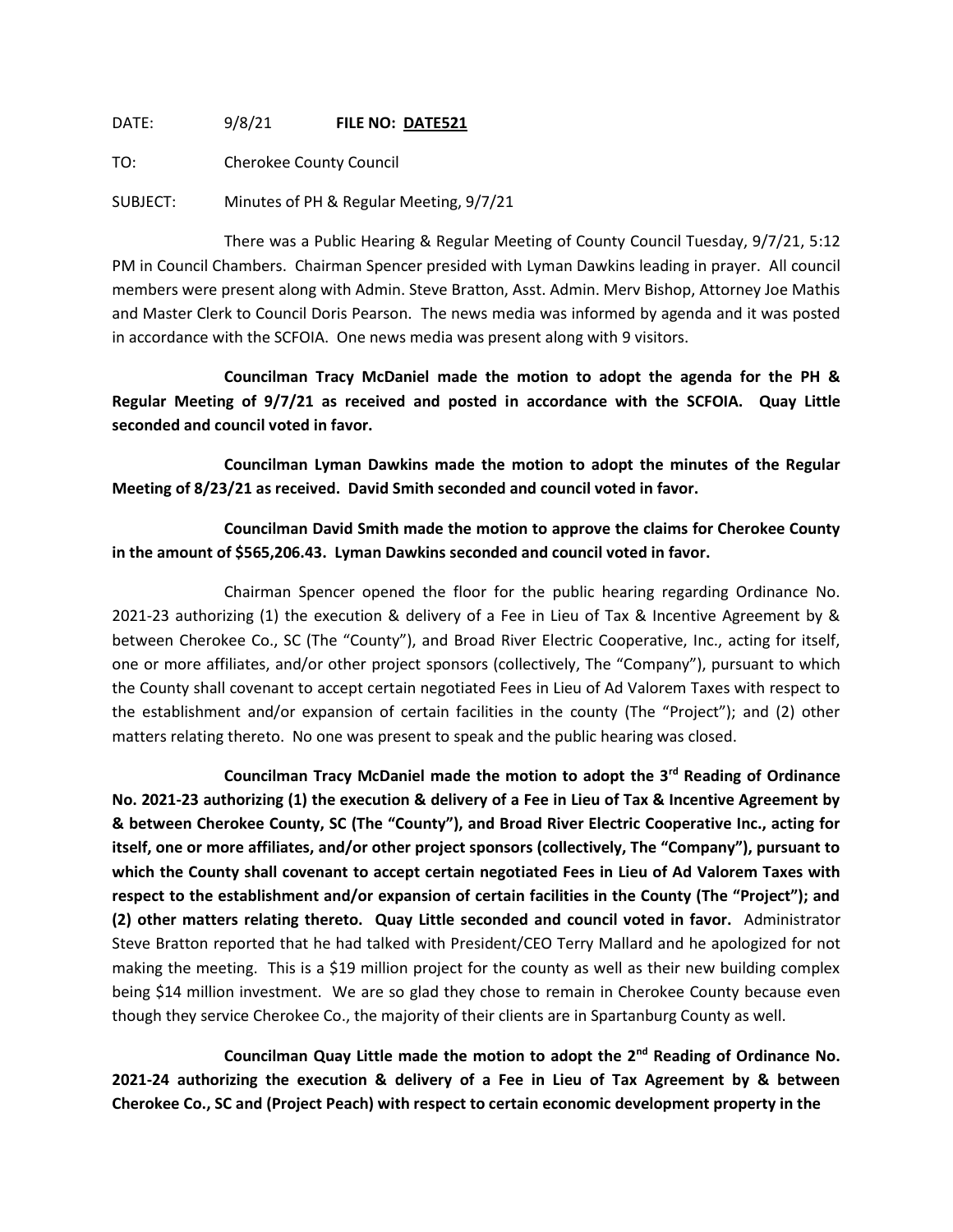DATE: 9/8/21 **FILE NO: DATE521**

TO: Cherokee County Council

SUBJECT: Minutes of PH & Regular Meeting, 9/7/21

There was a Public Hearing & Regular Meeting of County Council Tuesday, 9/7/21, 5:12 PM in Council Chambers. Chairman Spencer presided with Lyman Dawkins leading in prayer. All council members were present along with Admin. Steve Bratton, Asst. Admin. Merv Bishop, Attorney Joe Mathis and Master Clerk to Council Doris Pearson. The news media was informed by agenda and it was posted in accordance with the SCFOIA. One news media was present along with 9 visitors.

**Councilman Tracy McDaniel made the motion to adopt the agenda for the PH & Regular Meeting of 9/7/21 as received and posted in accordance with the SCFOIA. Quay Little seconded and council voted in favor.**

**Councilman Lyman Dawkins made the motion to adopt the minutes of the Regular Meeting of 8/23/21 as received. David Smith seconded and council voted in favor.**

**Councilman David Smith made the motion to approve the claims for Cherokee County in the amount of \$565,206.43. Lyman Dawkins seconded and council voted in favor.**

Chairman Spencer opened the floor for the public hearing regarding Ordinance No. 2021-23 authorizing (1) the execution & delivery of a Fee in Lieu of Tax & Incentive Agreement by & between Cherokee Co., SC (The "County"), and Broad River Electric Cooperative, Inc., acting for itself, one or more affiliates, and/or other project sponsors (collectively, The "Company"), pursuant to which the County shall covenant to accept certain negotiated Fees in Lieu of Ad Valorem Taxes with respect to the establishment and/or expansion of certain facilities in the county (The "Project"); and (2) other matters relating thereto. No one was present to speak and the public hearing was closed.

**Councilman Tracy McDaniel made the motion to adopt the 3rd Reading of Ordinance No. 2021-23 authorizing (1) the execution & delivery of a Fee in Lieu of Tax & Incentive Agreement by & between Cherokee County, SC (The "County"), and Broad River Electric Cooperative Inc., acting for itself, one or more affiliates, and/or other project sponsors (collectively, The "Company"), pursuant to which the County shall covenant to accept certain negotiated Fees in Lieu of Ad Valorem Taxes with respect to the establishment and/or expansion of certain facilities in the County (The "Project"); and (2) other matters relating thereto. Quay Little seconded and council voted in favor.** Administrator Steve Bratton reported that he had talked with President/CEO Terry Mallard and he apologized for not making the meeting. This is a \$19 million project for the county as well as their new building complex being \$14 million investment. We are so glad they chose to remain in Cherokee County because even though they service Cherokee Co., the majority of their clients are in Spartanburg County as well.

**Councilman Quay Little made the motion to adopt the 2nd Reading of Ordinance No. 2021-24 authorizing the execution & delivery of a Fee in Lieu of Tax Agreement by & between Cherokee Co., SC and (Project Peach) with respect to certain economic development property in the**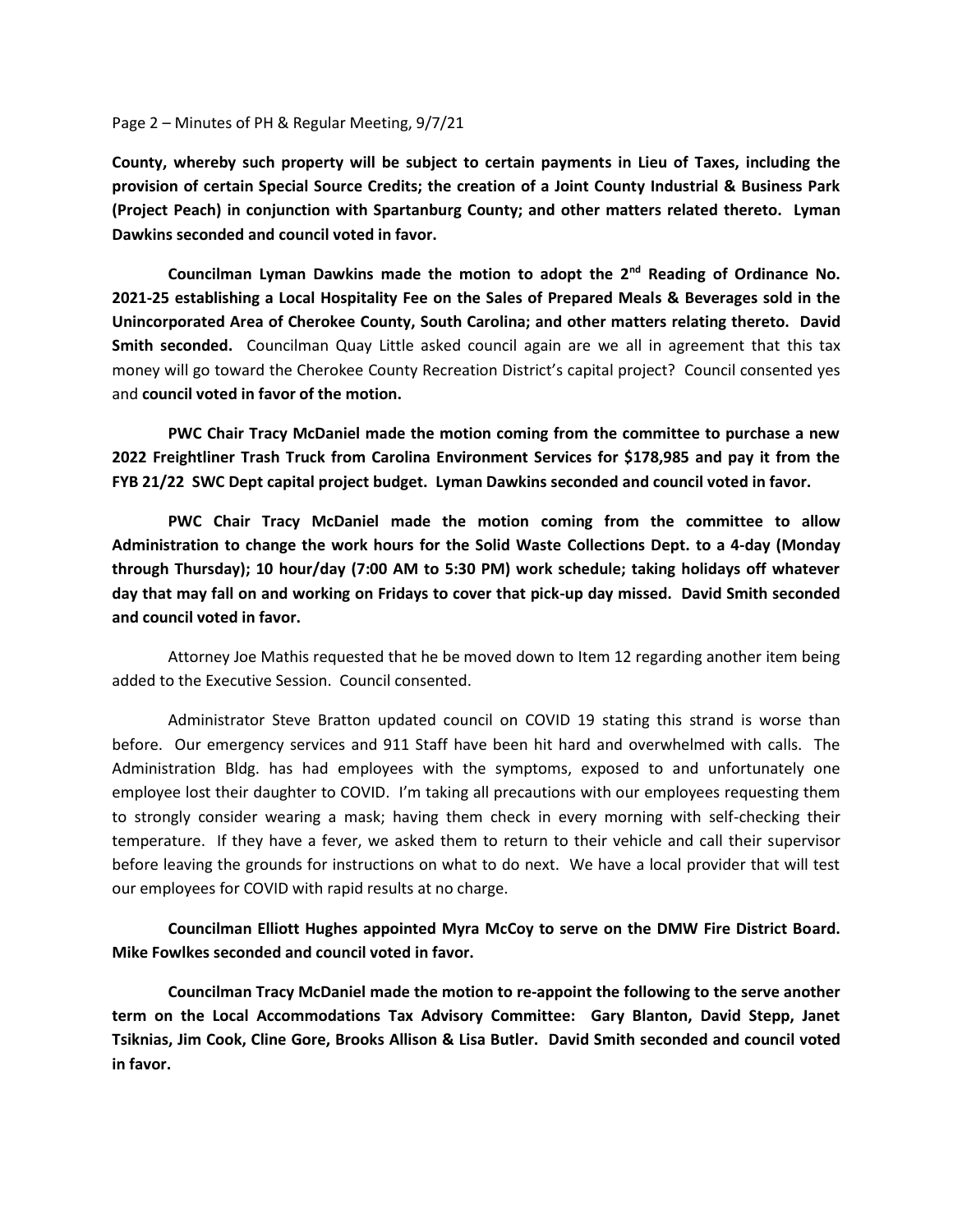## Page 2 – Minutes of PH & Regular Meeting, 9/7/21

**County, whereby such property will be subject to certain payments in Lieu of Taxes, including the provision of certain Special Source Credits; the creation of a Joint County Industrial & Business Park (Project Peach) in conjunction with Spartanburg County; and other matters related thereto. Lyman Dawkins seconded and council voted in favor.**

**Councilman Lyman Dawkins made the motion to adopt the 2nd Reading of Ordinance No. 2021-25 establishing a Local Hospitality Fee on the Sales of Prepared Meals & Beverages sold in the Unincorporated Area of Cherokee County, South Carolina; and other matters relating thereto. David Smith seconded.** Councilman Quay Little asked council again are we all in agreement that this tax money will go toward the Cherokee County Recreation District's capital project? Council consented yes and **council voted in favor of the motion.**

**PWC Chair Tracy McDaniel made the motion coming from the committee to purchase a new 2022 Freightliner Trash Truck from Carolina Environment Services for \$178,985 and pay it from the FYB 21/22 SWC Dept capital project budget. Lyman Dawkins seconded and council voted in favor.**

**PWC Chair Tracy McDaniel made the motion coming from the committee to allow Administration to change the work hours for the Solid Waste Collections Dept. to a 4-day (Monday through Thursday); 10 hour/day (7:00 AM to 5:30 PM) work schedule; taking holidays off whatever day that may fall on and working on Fridays to cover that pick-up day missed. David Smith seconded and council voted in favor.**

Attorney Joe Mathis requested that he be moved down to Item 12 regarding another item being added to the Executive Session. Council consented.

Administrator Steve Bratton updated council on COVID 19 stating this strand is worse than before. Our emergency services and 911 Staff have been hit hard and overwhelmed with calls. The Administration Bldg. has had employees with the symptoms, exposed to and unfortunately one employee lost their daughter to COVID. I'm taking all precautions with our employees requesting them to strongly consider wearing a mask; having them check in every morning with self-checking their temperature. If they have a fever, we asked them to return to their vehicle and call their supervisor before leaving the grounds for instructions on what to do next. We have a local provider that will test our employees for COVID with rapid results at no charge.

**Councilman Elliott Hughes appointed Myra McCoy to serve on the DMW Fire District Board. Mike Fowlkes seconded and council voted in favor.**

**Councilman Tracy McDaniel made the motion to re-appoint the following to the serve another term on the Local Accommodations Tax Advisory Committee: Gary Blanton, David Stepp, Janet Tsiknias, Jim Cook, Cline Gore, Brooks Allison & Lisa Butler. David Smith seconded and council voted in favor.**